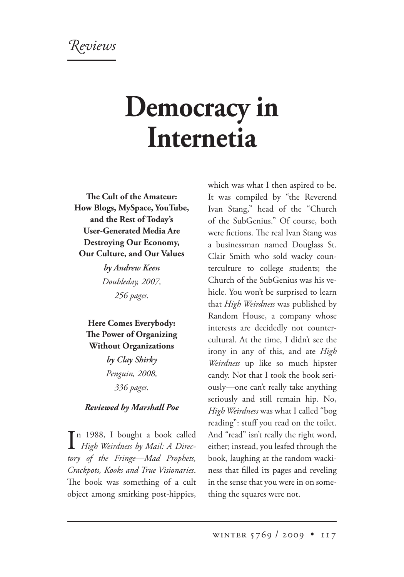Reviews

## **Democracy in Internetia**

**e Cult of the Amateur: How Blogs, MySpace, YouTube, and the Rest of Today's User-Generated Media Are Destroying Our Economy, Our Culture, and Our Values**

> *by Andrew Keen Doubleday, 2007, 256 pages.*

**Here Comes Everybody: e Power of Organizing Without Organizations**

> *by Clay Shirky Penguin, 2008, 336 pages.*

## *Reviewed by Marshall Poe*

 $\prod_{i=1}^{n}$  1988, I bought a book called<br>*High Weirdness by Mail: A Direc-High Weirdness by Mail: A Directory of the Fringe—Mad Prophets, Crackpots, Kooks and True Visionaries*. The book was something of a cult object among smirking post-hippies,

which was what I then aspired to be. It was compiled by "the Reverend Ivan Stang," head of the "Church of the SubGenius." Of course, both were fictions. The real Ivan Stang was a businessman named Douglass St. Clair Smith who sold wacky counterculture to college students; the Church of the SubGenius was his vehicle. You won't be surprised to learn that *High Weirdness* was published by Random House, a company whose interests are decidedly not countercultural. At the time, I didn't see the irony in any of this, and ate *High Weirdness* up like so much hipster candy. Not that I took the book seriously—one can't really take anything seriously and still remain hip. No, *High Weirdness* was what I called "bog reading": stuff you read on the toilet. And "read" isn't really the right word, either; instead, you leafed through the book, laughing at the random wackiness that filled its pages and reveling in the sense that you were in on something the squares were not.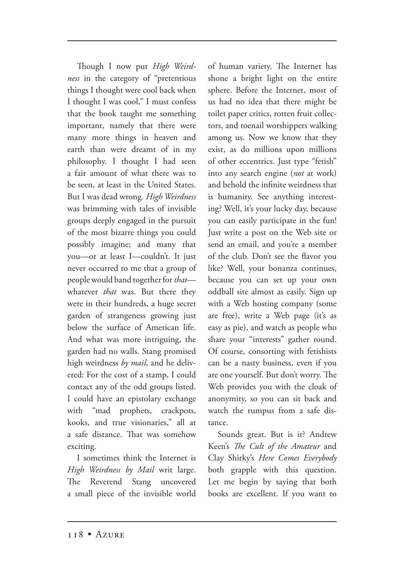Though I now put *High Weirdness* in the category of "pretentious things I thought were cool back when I thought I was cool," I must confess that the book taught me something important, namely that there were many more things in heaven and earth than were dreamt of in my philosophy. I thought I had seen a fair amount of what there was to be seen, at least in the United States. But I was dead wrong. *High Weirdness* was brimming with tales of invisible groups deeply engaged in the pursuit of the most bizarre things you could possibly imagine; and many that you—or at least I—couldn't. It just never occurred to me that a group of people would band together for *that* whatever *that* was. But there they were in their hundreds, a huge secret garden of strangeness growing just below the surface of American life. And what was more intriguing, the garden had no walls. Stang promised high weirdness *by mail*, and he delivered: For the cost of a stamp, I could contact any of the odd groups listed. I could have an epistolary exchange with "mad prophets, crackpots, kooks, and true visionaries," all at a safe distance. That was somehow exciting.

I sometimes think the Internet is *High Weirdness by Mail* writ large. The Reverend Stang uncovered a small piece of the invisible world of human variety. The Internet has shone a bright light on the entire sphere. Before the Internet, most of us had no idea that there might be toilet paper critics, rotten fruit collectors, and toenail worshippers walking among us. Now we know that they exist, as do millions upon millions of other eccentrics. Just type "fetish" into any search engine (*not* at work) and behold the infinite weirdness that is humanity. See anything interesting? Well, it's your lucky day, because you can easily participate in the fun! Just write a post on the Web site or send an email, and you're a member of the club. Don't see the flavor you like? Well, your bonanza continues, because you can set up your own oddball site almost as easily. Sign up with a Web hosting company (some are free), write a Web page (it's as easy as pie), and watch as people who share your "interests" gather round. Of course, consorting with fetishists can be a nasty business, even if you are one yourself. But don't worry. The Web provides you with the cloak of anonymity, so you can sit back and watch the rumpus from a safe distance.

Sounds great. But is it? Andrew Keen's *The Cult of the Amateur* and Clay Shirky's *Here Comes Everybody* both grapple with this question. Let me begin by saying that both books are excellent. If you want to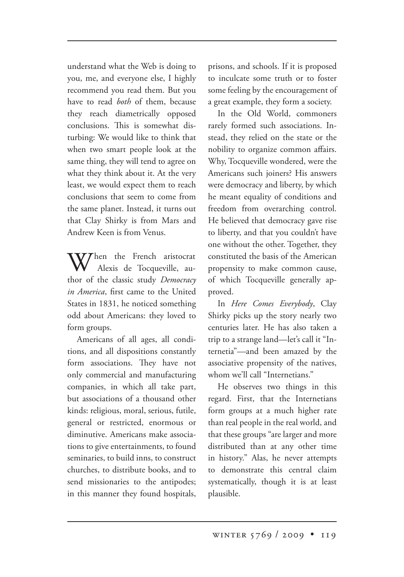understand what the Web is doing to you, me, and everyone else, I highly recommend you read them. But you have to read *both* of them, because they reach diametrically opposed conclusions. This is somewhat disturbing: We would like to think that when two smart people look at the same thing, they will tend to agree on what they think about it. At the very least, we would expect them to reach conclusions that seem to come from the same planet. Instead, it turns out that Clay Shirky is from Mars and Andrew Keen is from Venus.

When the French aristocrat<br>
Alexis de Tocqueville, author of the classic study *Democracy in America*, first came to the United States in 1831, he noticed something odd about Americans: they loved to form groups.

Americans of all ages, all conditions, and all dispositions constantly form associations. They have not only commercial and manufacturing companies, in which all take part, but associations of a thousand other kinds: religious, moral, serious, futile, general or restricted, enormous or diminutive. Americans make associations to give entertainments, to found seminaries, to build inns, to construct churches, to distribute books, and to send missionaries to the antipodes; in this manner they found hospitals, prisons, and schools. If it is proposed to inculcate some truth or to foster some feeling by the encouragement of a great example, they form a society.

In the Old World, commoners rarely formed such associations. Instead, they relied on the state or the nobility to organize common affairs. Why, Tocqueville wondered, were the Americans such joiners? His answers were democracy and liberty, by which he meant equality of conditions and freedom from overarching control. He believed that democracy gave rise to liberty, and that you couldn't have one without the other. Together, they constituted the basis of the American propensity to make common cause, of which Tocqueville generally approved.

In *Here Comes Everybody*, Clay Shirky picks up the story nearly two centuries later. He has also taken a trip to a strange land—let's call it "Internetia"—and been amazed by the associative propensity of the natives, whom we'll call "Internetians."

He observes two things in this regard. First, that the Internetians form groups at a much higher rate than real people in the real world, and that these groups "are larger and more distributed than at any other time in history." Alas, he never attempts to demonstrate this central claim systematically, though it is at least plausible.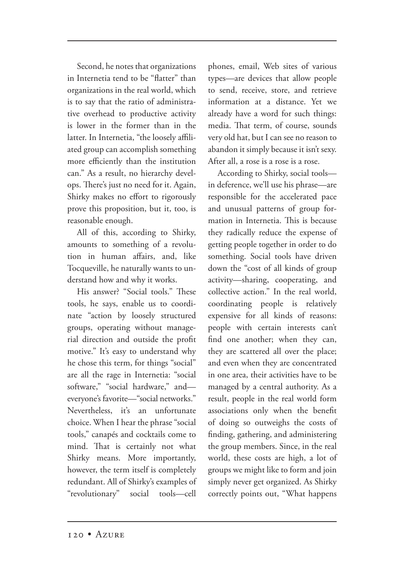Second, he notes that organizations in Internetia tend to be "flatter" than organizations in the real world, which is to say that the ratio of administrative overhead to productive activity is lower in the former than in the latter. In Internetia, "the loosely affiliated group can accomplish something more efficiently than the institution can." As a result, no hierarchy develops. There's just no need for it. Again, Shirky makes no effort to rigorously prove this proposition, but it, too, is reasonable enough.

All of this, according to Shirky, amounts to something of a revolution in human affairs, and, like Tocqueville, he naturally wants to understand how and why it works.

His answer? "Social tools." These tools, he says, enable us to coordinate "action by loosely structured groups, operating without managerial direction and outside the profit motive." It's easy to understand why he chose this term, for things "social" are all the rage in Internetia: "social software," "social hardware," and everyone's favorite—"social networks." Nevertheless, it's an unfortunate choice. When I hear the phrase "social tools," canapés and cocktails come to mind. That is certainly not what Shirky means. More importantly, however, the term itself is completely redundant. All of Shirky's examples of "revolutionary" social tools—cell phones, email, Web sites of various types—are devices that allow people to send, receive, store, and retrieve information at a distance. Yet we already have a word for such things: media. That term, of course, sounds very old hat, but I can see no reason to abandon it simply because it isn't sexy. After all, a rose is a rose is a rose.

According to Shirky, social tools in deference, we'll use his phrase—are responsible for the accelerated pace and unusual patterns of group formation in Internetia. This is because they radically reduce the expense of getting people together in order to do something. Social tools have driven down the "cost of all kinds of group activity—sharing, cooperating, and collective action." In the real world, coordinating people is relatively expensive for all kinds of reasons: people with certain interests can't find one another; when they can, they are scattered all over the place; and even when they are concentrated in one area, their activities have to be managed by a central authority. As a result, people in the real world form associations only when the benefit of doing so outweighs the costs of finding, gathering, and administering the group members. Since, in the real world, these costs are high, a lot of groups we might like to form and join simply never get organized. As Shirky correctly points out, "What happens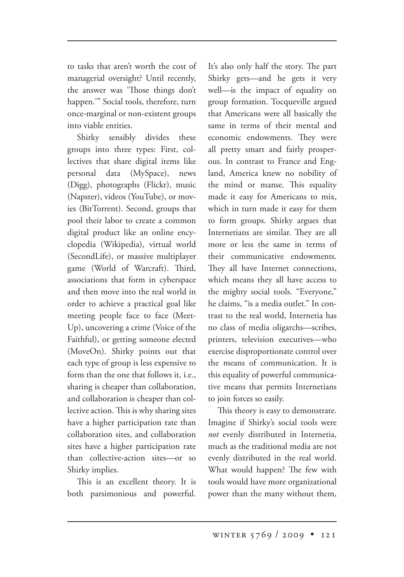to tasks that aren't worth the cost of managerial oversight? Until recently, the answer was 'Those things don't happen.'" Social tools, therefore, turn once-marginal or non-existent groups into viable entities.

Shirky sensibly divides these groups into three types: First, collectives that share digital items like personal data (MySpace), news (Digg), photographs (Flickr), music (Napster), videos (YouTube), or movies (BitTorrent). Second, groups that pool their labor to create a common digital product like an online encyclopedia (Wikipedia), virtual world (SecondLife), or massive multiplayer game (World of Warcraft). Third, associations that form in cyberspace and then move into the real world in order to achieve a practical goal like meeting people face to face (Meet-Up), uncovering a crime (Voice of the Faithful), or getting someone elected (MoveOn). Shirky points out that each type of group is less expensive to form than the one that follows it, i.e., sharing is cheaper than collaboration, and collaboration is cheaper than collective action. This is why sharing sites have a higher participation rate than collaboration sites, and collaboration sites have a higher participation rate than collective-action sites—or so Shirky implies.

This is an excellent theory. It is both parsimonious and powerful. It's also only half the story. The part Shirky gets—and he gets it very well—is the impact of equality on group formation. Tocqueville argued that Americans were all basically the same in terms of their mental and economic endowments. They were all pretty smart and fairly prosperous. In contrast to France and England, America knew no nobility of the mind or manse. This equality made it easy for Americans to mix, which in turn made it easy for them to form groups. Shirky argues that Internetians are similar. They are all more or less the same in terms of their communicative endowments. They all have Internet connections, which means they all have access to the mighty social tools. "Everyone," he claims, "is a media outlet." In contrast to the real world, Internetia has no class of media oligarchs—scribes, printers, television executives—who exercise disproportionate control over the means of communication. It is this equality of powerful communicative means that permits Internetians to join forces so easily.

This theory is easy to demonstrate. Imagine if Shirky's social tools were *not* evenly distributed in Internetia, much as the traditional media are not evenly distributed in the real world. What would happen? The few with tools would have more organizational power than the many without them,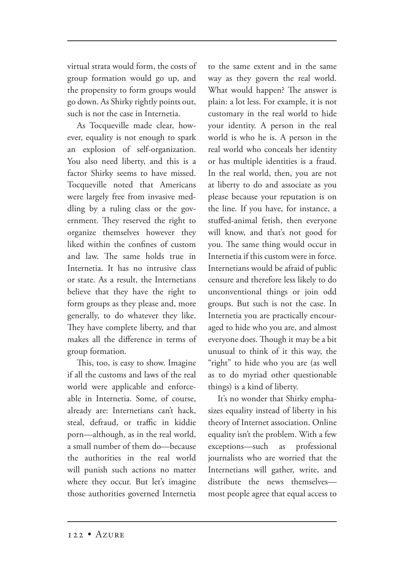virtual strata would form, the costs of group formation would go up, and the propensity to form groups would go down. As Shirky rightly points out, such is not the case in Internetia.

As Tocqueville made clear, however, equality is not enough to spark an explosion of self-organization. You also need liberty, and this is a factor Shirky seems to have missed. Tocqueville noted that Americans were largely free from invasive meddling by a ruling class or the government. They reserved the right to organize themselves however they liked within the confines of custom and law. The same holds true in Internetia. It has no intrusive class or state. As a result, the Internetians believe that they have the right to form groups as they please and, more generally, to do whatever they like. They have complete liberty, and that makes all the difference in terms of group formation.

This, too, is easy to show. Imagine if all the customs and laws of the real world were applicable and enforceable in Internetia. Some, of course, already are: Internetians can't hack, steal, defraud, or traffic in kiddie porn—although, as in the real world, a small number of them do—because the authorities in the real world will punish such actions no matter where they occur. But let's imagine those authorities governed Internetia to the same extent and in the same way as they govern the real world. What would happen? The answer is plain: a lot less. For example, it is not customary in the real world to hide your identity. A person in the real world is who he is. A person in the real world who conceals her identity or has multiple identities is a fraud. In the real world, then, you are not at liberty to do and associate as you please because your reputation is on the line. If you have, for instance, a stuffed-animal fetish, then everyone will know, and that's not good for you. The same thing would occur in Internetia if this custom were in force. Internetians would be afraid of public censure and therefore less likely to do unconventional things or join odd groups. But such is not the case. In Internetia you are practically encouraged to hide who you are, and almost everyone does. Though it may be a bit unusual to think of it this way, the "right" to hide who you are (as well as to do myriad other questionable things) is a kind of liberty.

It's no wonder that Shirky emphasizes equality instead of liberty in his theory of Internet association. Online equality isn't the problem. With a few exceptions—such as professional journalists who are worried that the Internetians will gather, write, and distribute the news themselves most people agree that equal access to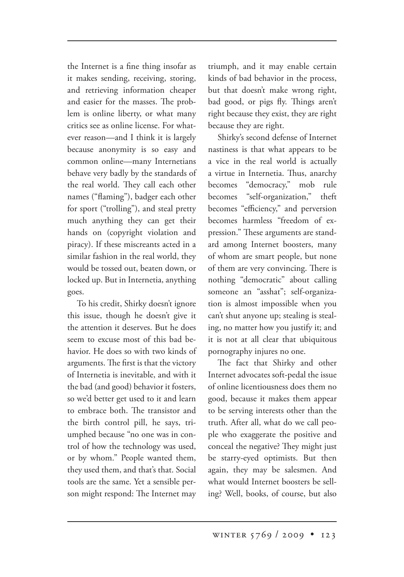the Internet is a fine thing insofar as it makes sending, receiving, storing, and retrieving information cheaper and easier for the masses. The problem is online liberty, or what many critics see as online license. For whatever reason—and I think it is largely because anonymity is so easy and common online—many Internetians behave very badly by the standards of the real world. They call each other names ("flaming"), badger each other for sport ("trolling"), and steal pretty much anything they can get their hands on (copyright violation and piracy). If these miscreants acted in a similar fashion in the real world, they would be tossed out, beaten down, or locked up. But in Internetia, anything goes.

To his credit, Shirky doesn't ignore this issue, though he doesn't give it the attention it deserves. But he does seem to excuse most of this bad behavior. He does so with two kinds of arguments. The first is that the victory of Internetia is inevitable, and with it the bad (and good) behavior it fosters, so we'd better get used to it and learn to embrace both. The transistor and the birth control pill, he says, triumphed because "no one was in control of how the technology was used, or by whom." People wanted them, they used them, and that's that. Social tools are the same. Yet a sensible person might respond: The Internet may

triumph, and it may enable certain kinds of bad behavior in the process, but that doesn't make wrong right, bad good, or pigs fly. Things aren't right because they exist, they are right because they are right.

Shirky's second defense of Internet nastiness is that what appears to be a vice in the real world is actually a virtue in Internetia. Thus, anarchy becomes "democracy," mob rule becomes "self-organization," theft becomes "efficiency," and perversion becomes harmless "freedom of expression." These arguments are standard among Internet boosters, many of whom are smart people, but none of them are very convincing. There is nothing "democratic" about calling someone an "asshat"; self-organization is almost impossible when you can't shut anyone up; stealing is stealing, no matter how you justify it; and it is not at all clear that ubiquitous pornography injures no one.

The fact that Shirky and other Internet advocates soft-pedal the issue of online licentiousness does them no good, because it makes them appear to be serving interests other than the truth. After all, what do we call people who exaggerate the positive and conceal the negative? They might just be starry-eyed optimists. But then again, they may be salesmen. And what would Internet boosters be selling? Well, books, of course, but also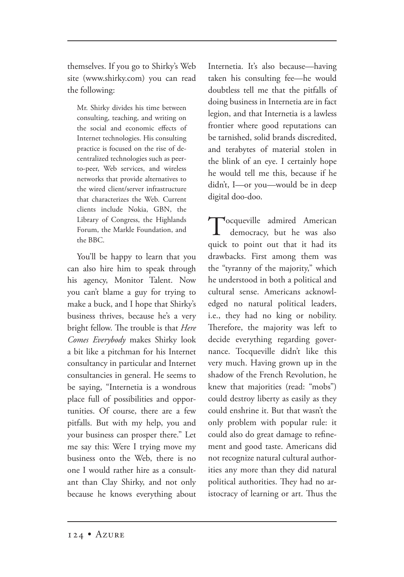themselves. If you go to Shirky's Web site (www.shirky.com) you can read the following:

Mr. Shirky divides his time between consulting, teaching, and writing on the social and economic effects of Internet technologies. His consulting practice is focused on the rise of decentralized technologies such as peerto-peer, Web services, and wireless networks that provide alternatives to the wired client/server infrastructure that characterizes the Web. Current clients include Nokia, GBN, the Library of Congress, the Highlands Forum, the Markle Foundation, and the BBC.

You'll be happy to learn that you can also hire him to speak through his agency, Monitor Talent. Now you can't blame a guy for trying to make a buck, and I hope that Shirky's business thrives, because he's a very bright fellow. The trouble is that *Here Comes Everybody* makes Shirky look a bit like a pitchman for his Internet consultancy in particular and Internet consultancies in general. He seems to be saying, "Internetia is a wondrous place full of possibilities and opportunities. Of course, there are a few pitfalls. But with my help, you and your business can prosper there." Let me say this: Were I trying move my business onto the Web, there is no one I would rather hire as a consultant than Clay Shirky, and not only because he knows everything about Internetia. It's also because—having taken his consulting fee—he would doubtless tell me that the pitfalls of doing business in Internetia are in fact legion, and that Internetia is a lawless frontier where good reputations can be tarnished, solid brands discredited, and terabytes of material stolen in the blink of an eye. I certainly hope he would tell me this, because if he didn't, I—or you—would be in deep digital doo-doo.

Tocqueville admired American democracy, but he was also quick to point out that it had its drawbacks. First among them was the "tyranny of the majority," which he understood in both a political and cultural sense. Americans acknowledged no natural political leaders, i.e., they had no king or nobility. Therefore, the majority was left to decide everything regarding governance. Tocqueville didn't like this very much. Having grown up in the shadow of the French Revolution, he knew that majorities (read: "mobs") could destroy liberty as easily as they could enshrine it. But that wasn't the only problem with popular rule: it could also do great damage to refinement and good taste. Americans did not recognize natural cultural authorities any more than they did natural political authorities. They had no aristocracy of learning or art. Thus the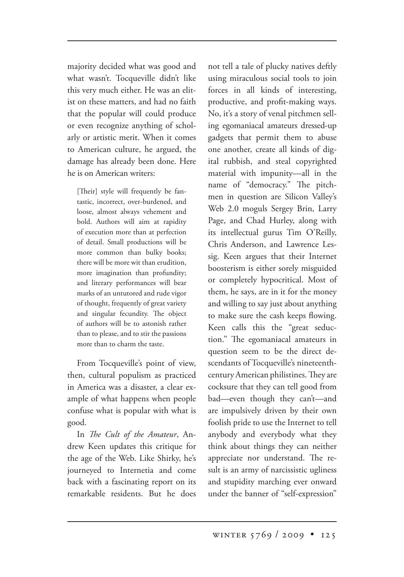majority decided what was good and what wasn't. Tocqueville didn't like this very much either. He was an elitist on these matters, and had no faith that the popular will could produce or even recognize anything of scholarly or artistic merit. When it comes to American culture, he argued, the damage has already been done. Here he is on American writers:

[Their] style will frequently be fantastic, incorrect, over-burdened, and loose, almost always vehement and bold. Authors will aim at rapidity of execution more than at perfection of detail. Small productions will be more common than bulky books; there will be more wit than erudition, more imagination than profundity; and literary performances will bear marks of an untutored and rude vigor of thought, frequently of great variety and singular fecundity. The object of authors will be to astonish rather than to please, and to stir the passions more than to charm the taste.

From Tocqueville's point of view, then, cultural populism as practiced in America was a disaster, a clear example of what happens when people confuse what is popular with what is good.

In *The Cult of the Amateur*, Andrew Keen updates this critique for the age of the Web. Like Shirky, he's journeyed to Internetia and come back with a fascinating report on its remarkable residents. But he does not tell a tale of plucky natives deftly using miraculous social tools to join forces in all kinds of interesting, productive, and profit-making ways. No, it's a story of venal pitchmen selling egomaniacal amateurs dressed-up gadgets that permit them to abuse one another, create all kinds of digital rubbish, and steal copyrighted material with impunity—all in the name of "democracy." The pitchmen in question are Silicon Valley's Web 2.0 moguls Sergey Brin, Larry Page, and Chad Hurley, along with its intellectual gurus Tim O'Reilly, Chris Anderson, and Lawrence Lessig. Keen argues that their Internet boosterism is either sorely misguided or completely hypocritical. Most of them, he says, are in it for the money and willing to say just about anything to make sure the cash keeps flowing. Keen calls this the "great seduction." The egomaniacal amateurs in question seem to be the direct descendants of Tocqueville's nineteenthcentury American philistines. They are cocksure that they can tell good from bad—even though they can't—and are impulsively driven by their own foolish pride to use the Internet to tell anybody and everybody what they think about things they can neither appreciate nor understand. The result is an army of narcissistic ugliness and stupidity marching ever onward under the banner of "self-expression"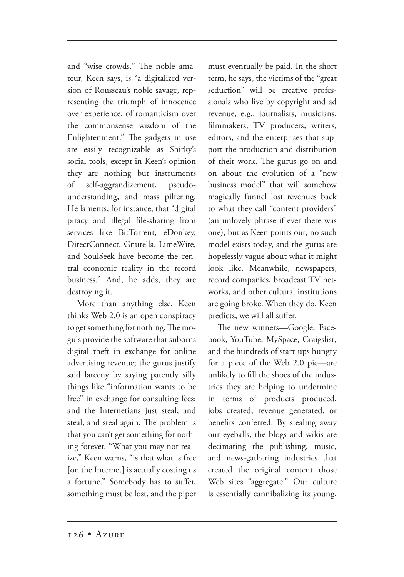and "wise crowds." The noble amateur, Keen says, is "a digitalized version of Rousseau's noble savage, representing the triumph of innocence over experience, of romanticism over the commonsense wisdom of the Enlightenment." The gadgets in use are easily recognizable as Shirky's social tools, except in Keen's opinion they are nothing but instruments of self-aggrandizement, pseudounderstanding, and mass pilfering. He laments, for instance, that "digital piracy and illegal file-sharing from services like BitTorrent, eDonkey, DirectConnect, Gnutella, LimeWire, and SoulSeek have become the central economic reality in the record business." And, he adds, they are destroying it.

More than anything else, Keen thinks Web 2.0 is an open conspiracy to get something for nothing. The moguls provide the software that suborns digital theft in exchange for online advertising revenue; the gurus justify said larceny by saying patently silly things like "information wants to be free" in exchange for consulting fees; and the Internetians just steal, and steal, and steal again. The problem is that you can't get something for nothing forever. "What you may not realize," Keen warns, "is that what is free [on the Internet] is actually costing us a fortune." Somebody has to suffer, something must be lost, and the piper must eventually be paid. In the short term, he says, the victims of the "great seduction" will be creative professionals who live by copyright and ad revenue, e.g., journalists, musicians, filmmakers, TV producers, writers, editors, and the enterprises that support the production and distribution of their work. The gurus go on and on about the evolution of a "new business model" that will somehow magically funnel lost revenues back to what they call "content providers" (an unlovely phrase if ever there was one), but as Keen points out, no such model exists today, and the gurus are hopelessly vague about what it might look like. Meanwhile, newspapers, record companies, broadcast TV networks, and other cultural institutions are going broke. When they do, Keen predicts, we will all suffer.

The new winners—Google, Facebook, YouTube, MySpace, Craigslist, and the hundreds of start-ups hungry for a piece of the Web 2.0 pie—are unlikely to fill the shoes of the industries they are helping to undermine in terms of products produced, jobs created, revenue generated, or benefits conferred. By stealing away our eyeballs, the blogs and wikis are decimating the publishing, music, and news-gathering industries that created the original content those Web sites "aggregate." Our culture is essentially cannibalizing its young,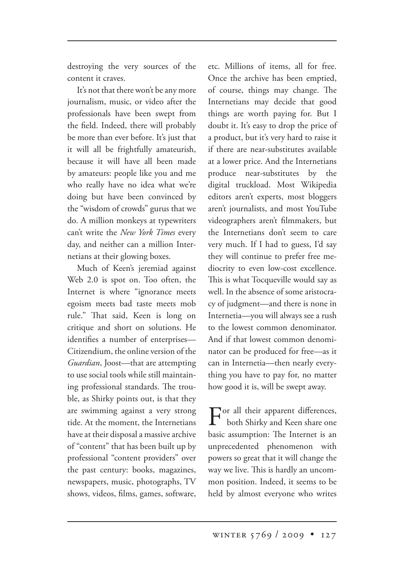destroying the very sources of the content it craves.

It's not that there won't be any more journalism, music, or video after the professionals have been swept from the field. Indeed, there will probably be more than ever before. It's just that it will all be frightfully amateurish, because it will have all been made by amateurs: people like you and me who really have no idea what we're doing but have been convinced by the "wisdom of crowds" gurus that we do. A million monkeys at typewriters can't write the *New York Times* every day, and neither can a million Internetians at their glowing boxes.

Much of Keen's jeremiad against Web 2.0 is spot on. Too often, the Internet is where "ignorance meets egoism meets bad taste meets mob rule." That said, Keen is long on critique and short on solutions. He identifies a number of enterprises— Citizendium, the online version of the *Guardian*, Joost—that are attempting to use social tools while still maintaining professional standards. The trouble, as Shirky points out, is that they are swimming against a very strong tide. At the moment, the Internetians have at their disposal a massive archive of "content" that has been built up by professional "content providers" over the past century: books, magazines, newspapers, music, photographs, TV shows, videos, films, games, software, etc. Millions of items, all for free. Once the archive has been emptied, of course, things may change. The Internetians may decide that good things are worth paying for. But I doubt it. It's easy to drop the price of a product, but it's very hard to raise it if there are near-substitutes available at a lower price. And the Internetians produce near-substitutes by the digital truckload. Most Wikipedia editors aren't experts, most bloggers aren't journalists, and most YouTube videographers aren't filmmakers, but the Internetians don't seem to care very much. If I had to guess, I'd say they will continue to prefer free mediocrity to even low-cost excellence. This is what Tocqueville would say as well. In the absence of some aristocracy of judgment—and there is none in Internetia—you will always see a rush to the lowest common denominator. And if that lowest common denominator can be produced for free—as it can in Internetia—then nearly everything you have to pay for, no matter how good it is, will be swept away.

 $\sum$  or all their apparent differences, both Shirky and Keen share one basic assumption: The Internet is an unprecedented phenomenon with powers so great that it will change the way we live. This is hardly an uncommon position. Indeed, it seems to be held by almost everyone who writes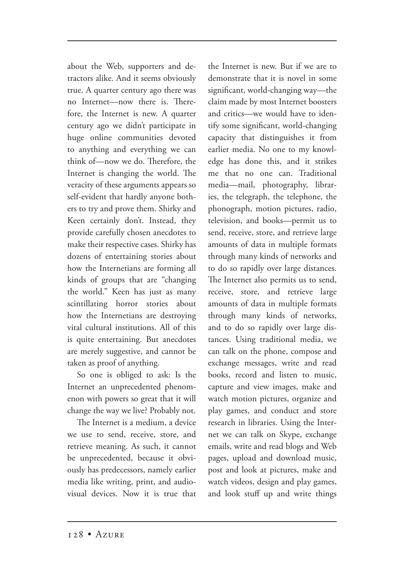about the Web, supporters and detractors alike. And it seems obviously true. A quarter century ago there was no Internet—now there is. Therefore, the Internet is new. A quarter century ago we didn't participate in huge online communities devoted to anything and everything we can think of—now we do. Therefore, the Internet is changing the world. The veracity of these arguments appears so self-evident that hardly anyone bothers to try and prove them. Shirky and Keen certainly don't. Instead, they provide carefully chosen anecdotes to make their respective cases. Shirky has dozens of entertaining stories about how the Internetians are forming all kinds of groups that are "changing the world." Keen has just as many scintillating horror stories about how the Internetians are destroying vital cultural institutions. All of this is quite entertaining. But anecdotes are merely suggestive, and cannot be taken as proof of anything.

So one is obliged to ask: Is the Internet an unprecedented phenomenon with powers so great that it will change the way we live? Probably not.

The Internet is a medium, a device we use to send, receive, store, and retrieve meaning. As such, it cannot be unprecedented, because it obviously has predecessors, namely earlier media like writing, print, and audiovisual devices. Now it is true that the Internet is new. But if we are to demonstrate that it is novel in some significant, world-changing way—the claim made by most Internet boosters and critics—we would have to identify some significant, world-changing capacity that distinguishes it from earlier media. No one to my knowledge has done this, and it strikes me that no one can. Traditional media—mail, photography, libraries, the telegraph, the telephone, the phonograph, motion pictures, radio, television, and books—permit us to send, receive, store, and retrieve large amounts of data in multiple formats through many kinds of networks and to do so rapidly over large distances. The Internet also permits us to send, receive, store, and retrieve large amounts of data in multiple formats through many kinds of networks, and to do so rapidly over large distances. Using traditional media, we can talk on the phone, compose and exchange messages, write and read books, record and listen to music, capture and view images, make and watch motion pictures, organize and play games, and conduct and store research in libraries. Using the Internet we can talk on Skype, exchange emails, write and read blogs and Web pages, upload and download music, post and look at pictures, make and watch videos, design and play games, and look stuff up and write things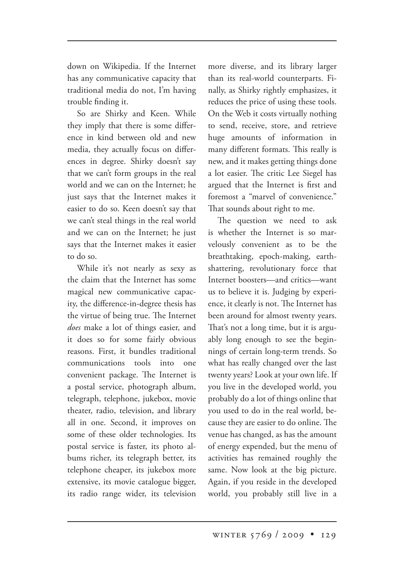down on Wikipedia. If the Internet has any communicative capacity that traditional media do not, I'm having trouble finding it.

So are Shirky and Keen. While they imply that there is some difference in kind between old and new media, they actually focus on differences in degree. Shirky doesn't say that we can't form groups in the real world and we can on the Internet; he just says that the Internet makes it easier to do so. Keen doesn't say that we can't steal things in the real world and we can on the Internet; he just says that the Internet makes it easier to do so.

While it's not nearly as sexy as the claim that the Internet has some magical new communicative capacity, the difference-in-degree thesis has the virtue of being true. The Internet *does* make a lot of things easier, and it does so for some fairly obvious reasons. First, it bundles traditional communications tools into one convenient package. The Internet is a postal service, photograph album, telegraph, telephone, jukebox, movie theater, radio, television, and library all in one. Second, it improves on some of these older technologies. Its postal service is faster, its photo albums richer, its telegraph better, its telephone cheaper, its jukebox more extensive, its movie catalogue bigger, its radio range wider, its television more diverse, and its library larger than its real-world counterparts. Finally, as Shirky rightly emphasizes, it reduces the price of using these tools. On the Web it costs virtually nothing to send, receive, store, and retrieve huge amounts of information in many different formats. This really is new, and it makes getting things done a lot easier. The critic Lee Siegel has argued that the Internet is first and foremost a "marvel of convenience." That sounds about right to me.

The question we need to ask is whether the Internet is so marvelously convenient as to be the breathtaking, epoch-making, earthshattering, revolutionary force that Internet boosters—and critics—want us to believe it is. Judging by experience, it clearly is not. The Internet has been around for almost twenty years. That's not a long time, but it is arguably long enough to see the beginnings of certain long-term trends. So what has really changed over the last twenty years? Look at your own life. If you live in the developed world, you probably do a lot of things online that you used to do in the real world, because they are easier to do online. The venue has changed, as has the amount of energy expended, but the menu of activities has remained roughly the same. Now look at the big picture. Again, if you reside in the developed world, you probably still live in a